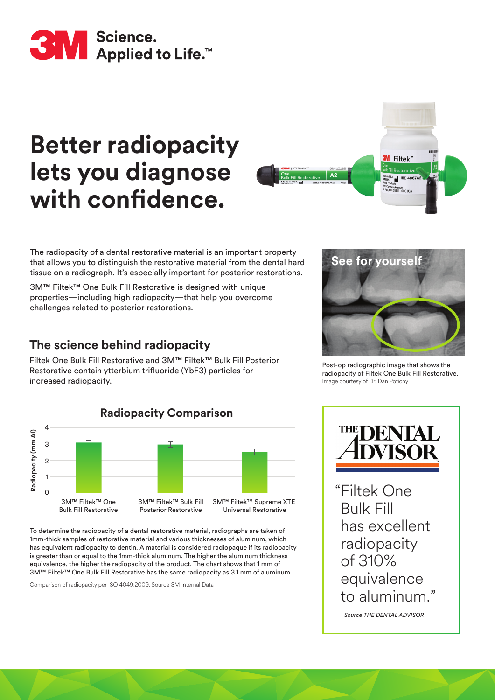

## **Better radiopacity lets you diagnose with confidence.**



The radiopacity of a dental restorative material is an important property that allows you to distinguish the restorative material from the dental hard tissue on a radiograph. It's especially important for posterior restorations.

3M™ Filtek™ One Bulk Fill Restorative is designed with unique properties—including high radiopacity—that help you overcome challenges related to posterior restorations.

## **The science behind radiopacity**

Filtek One Bulk Fill Restorative and 3M™ Filtek™ Bulk Fill Posterior Restorative contain ytterbium trifluoride (YbF3) particles for increased radiopacity.



Post-op radiographic image that shows the radiopacity of Filtek One Bulk Fill Restorative. Image courtesy of Dr. Dan Poticny



To determine the radiopacity of a dental restorative material, radiographs are taken of 1mm-thick samples of restorative material and various thicknesses of aluminum, which has equivalent radiopacity to dentin. A material is considered radiopaque if its radiopacity is greater than or equal to the 1mm-thick aluminum. The higher the aluminum thickness equivalence, the higher the radiopacity of the product. The chart shows that 1 mm of 3M™ Filtek™ One Bulk Fill Restorative has the same radiopacity as 3.1 mm of aluminum.

Comparison of radiopacity per ISO 4049:2009. Source 3M Internal Data



"Filtek One Bulk Fill has excellent radiopacity of 310% equivalence to aluminum."

*Source THE DENTAL ADVISOR*